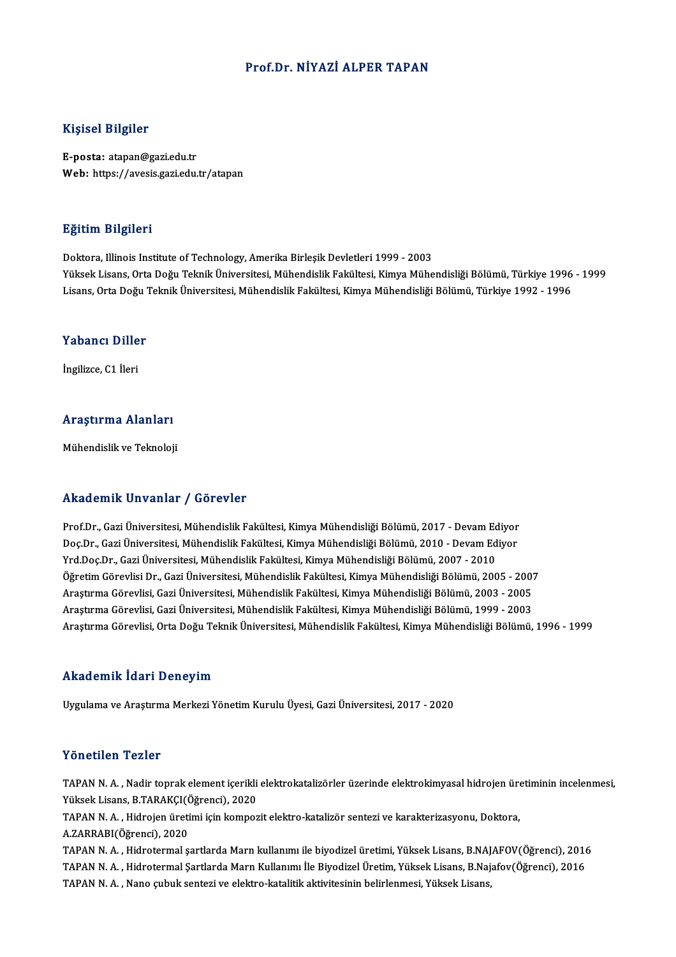## Prof.Dr. NİYAZİ ALPER TAPAN

#### Kişisel Bilgiler

E-posta: atapan@gazi.edu.tr Web: https://avesis.gazi.edu.tr/atapan

#### Eğitim Bilgileri

Doktora, Illinois Institute of Technology, Amerika Birleşik Devletleri 1999 - 2003 YüksekLisans,OrtaDoğuTeknikÜniversitesi,MühendislikFakültesi,KimyaMühendisliğiBölümü,Türkiye 1996 -1999 Lisans, Orta Doğu Teknik Üniversitesi, Mühendislik Fakültesi, Kimya Mühendisliği Bölümü, Türkiye 1992 - 1996

# Lisans, orta bogu<br>Yabancı Diller Y<mark>abancı Dille</mark><br>İngilizce, C1 İleri

# <sub>Ingliizce, CT lieri<br>Araştırma Alanları</sub> <mark>Araştırma Alanları</mark><br>Mühendislik ve Teknoloji

# Mühendislik ve Teknoloji<br>Akademik Unvanlar / Görevler

Akademik Unvanlar / Görevler<br>Prof.Dr., Gazi Üniversitesi, Mühendislik Fakültesi, Kimya Mühendisliği Bölümü, 2017 - Devam Ediyor<br>Des Dr. Gazi Üniversitesi, Mühendislik Fakültesi, Kimya Mühendisliği Bölümü, 2010 - Devam Ediy rında olirin "Oli valifat" / "dəfəvi oli<br>Prof.Dr., Gazi Üniversitesi, Mühendislik Fakültesi, Kimya Mühendisliği Bölümü, 2017 - Devam Ediyor<br>Doç.Dr., Gazi Üniversitesi, Mühendislik Fakültesi, Kimya Mühendisliği Bölümü, 2007 Prof.Dr., Gazi Üniversitesi, Mühendislik Fakültesi, Kimya Mühendisliği Bölümü, 2017 - Devam Ed<br>Doç.Dr., Gazi Üniversitesi, Mühendislik Fakültesi, Kimya Mühendisliği Bölümü, 2010 - Devam Ed<br>Yrd.Doç.Dr., Gazi Üniversitesi, M Doç.Dr., Gazi Üniversitesi, Mühendislik Fakültesi, Kimya Mühendisliği Bölümü, 2010 - Devam Ediyor<br>Yrd.Doç.Dr., Gazi Üniversitesi, Mühendislik Fakültesi, Kimya Mühendisliği Bölümü, 2007 - 2010<br>Öğretim Görevlisi Dr., Gazi Ün Yrd.Doç.Dr., Gazi Üniversitesi, Mühendislik Fakültesi, Kimya Mühendisliği Bölümü, 2007 - 2010<br>Öğretim Görevlisi Dr., Gazi Üniversitesi, Mühendislik Fakültesi, Kimya Mühendisliği Bölümü, 2005 - 2007<br>Araştırma Görevlisi, Gaz Öğretim Görevlisi Dr., Gazi Üniversitesi, Mühendislik Fakültesi, Kimya Mühendisliği Bölümü, 2005 - 2007<br>Araştırma Görevlisi, Gazi Üniversitesi, Mühendislik Fakültesi, Kimya Mühendisliği Bölümü, 2003 - 2005<br>Araştırma Görevl Araştırma Görevlisi, Gazi Üniversitesi, Mühendislik Fakültesi, Kimya Mühendisliği Bölümü, 2003 - 2005<br>Araştırma Görevlisi, Gazi Üniversitesi, Mühendislik Fakültesi, Kimya Mühendisliği Bölümü, 1999 - 2003<br>Araştırma Görevlis

#### Akademik İdari Deneyim

Uygulama veAraştırmaMerkeziYönetimKuruluÜyesi,GaziÜniversitesi,2017 -2020

### Yönetilen Tezler

Yönetilen Tezler<br>TAPAN N. A. , Nadir toprak element içerikli elektrokatalizörler üzerinde elektrokimyasal hidrojen üretiminin incelenmesi,<br>Yükaak Lisans, B.TARAKCI(Öğrensi), 2020 YÜKSEKLISI YÜKSEK<br>TAPAN N. A. , Nadir toprak element içerikli<br>Yüksek Lisans, B.TARAKÇI(Öğrenci), 2020<br>TARAN N. A. Hidroian üretimi isin kompon TAPAN N. A. , Nadir toprak element içerikli elektrokatalizörler üzerinde elektrokimyasal hidrojen üre<br>Yüksek Lisans, B.TARAKÇI(Öğrenci), 2020<br>TAPAN N. A. , Hidrojen üretimi için kompozit elektro-katalizör sentezi ve karakt

Yüksek Lisans, B.TARAKÇI(Öğrenci), 2020<br>TAPAN N. A. , Hidrojen üretimi için kompozit elektro-katalizör sentezi ve karakterizasyonu, Doktora,<br>A.ZARRABI(Öğrenci), 2020 TAPAN N. A. , Hidrojen üretimi için kompozit elektro-katalizör sentezi ve karakterizasyonu, Doktora,<br>A.ZARRABI(Öğrenci), 2020<br>TAPAN N. A. , Hidrotermal şartlarda Marn kullanımı ile biyodizel üretimi, Yüksek Lisans, B.NAJAF

A.ZARRABI(Öğrenci), 2020<br>TAPAN N. A. , Hidrotermal şartlarda Marn kullanımı ile biyodizel üretimi, Yüksek Lisans, B.NAJAFOV(Öğrenci), 2016<br>TAPAN N. A. , Hidrotermal Şartlarda Marn Kullanımı İle Biyodizel Üretim, Yüksek Lis TAPAN N. A. , Hidrotermal şartlarda Marn kullanımı ile biyodizel üretimi, Yüksek Lisans, B.NAJ<br>TAPAN N. A. , Hidrotermal Şartlarda Marn Kullanımı İle Biyodizel Üretim, Yüksek Lisans, B.Naj<br>TAPAN N. A. , Nano çubuk sentezi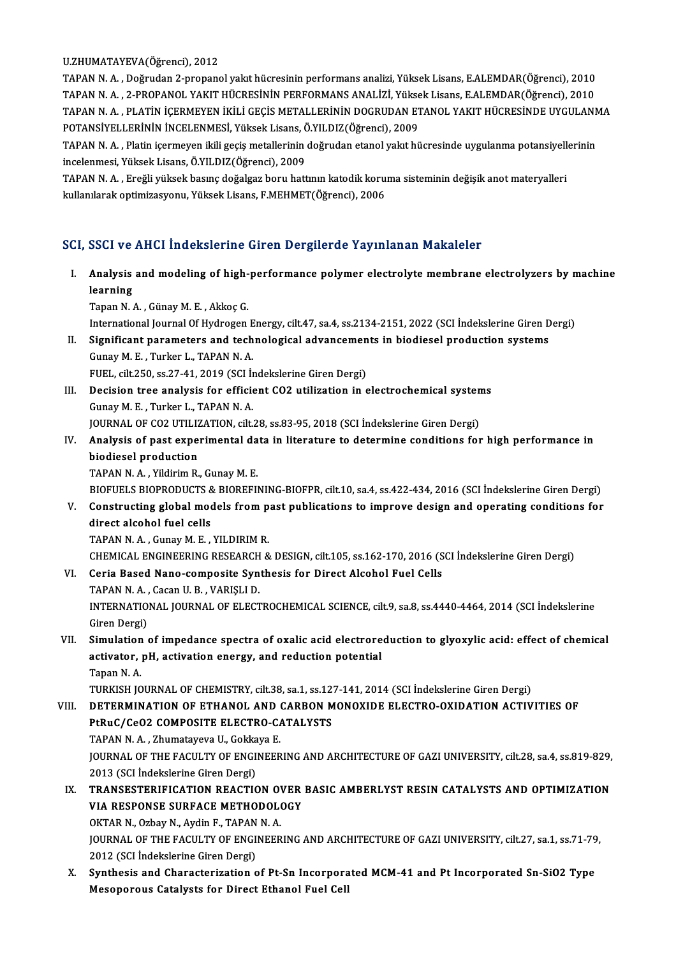U.ZHUMATAYEVA(Öğrenci),2012

U.ZHUMATAYEVA(Öğrenci), 2012<br>TAPAN N. A. , Doğrudan 2-propanol yakıt hücresinin performans analizi, Yüksek Lisans, E.ALEMDAR(Öğrenci), 2010<br>TARAN N. A. , 2 RRORANOL VAKIT HÜCRESİNİN PERFORMANS ANALİZI, Yüksek Lisans, E.ALE U.ZHUMATAYEVA(Öğrenci), 2012<br>TAPAN N. A. , Doğrudan 2-propanol yakıt hücresinin performans analizi, Yüksek Lisans, E.ALEMDAR(Öğrenci), 2010<br>TAPAN N. A. , 2-PROPANOL YAKIT HÜCRESİNİN PERFORMANS ANALİZİ, Yüksek Lisans, E.ALE TAPAN N. A. , Doğrudan 2-propanol yakıt hücresinin performans analizi, Yüksek Lisans, E.ALEMDAR(Öğrenci), 2010<br>TAPAN N. A. , 2-PROPANOL YAKIT HÜCRESİNİN PERFORMANS ANALİZİ, Yüksek Lisans, E.ALEMDAR(Öğrenci), 2010<br>TAPAN N. TAPAN N. A., 2-PROPANOL YAKIT HÜCRESİNİN PERFORMANS ANALİZİ, Yüksek Lisans, E.ALEMDAR(Öğrenci), 2010 TAPAN N. A. , PLATİN İÇERMEYEN İKİLİ GEÇİS METALLERİNİN DOGRUDAN ETANOL YAKIT HÜCRESİNDE UYGULANN<br>POTANSİYELLERİNİN İNCELENMESİ, Yüksek Lisans, Ö.YILDIZ(Öğrenci), 2009<br>TAPAN N. A. , Platin içermeyen ikili geçiş metallerini

POTANSİYELLERİNİN İNCELENMESİ, Yüksek Lisans, Ö.YILDIZ(Öğrenci), 2009<br>TAPAN N. A. , Platin içermeyen ikili geçiş metallerinin doğrudan etanol yakıt hi<br>incelenmesi, Yüksek Lisans, Ö.YILDIZ(Öğrenci), 2009 TAPAN N. A. , Platin içermeyen ikili geçiş metallerinin doğrudan etanol yakıt hücresinde uygulanma potansiyellerinin<br>incelenmesi, Yüksek Lisans, Ö.YILDIZ(Öğrenci), 2009<br>TAPAN N. A. , Ereğli yüksek basınç doğalgaz boru hatt

TAPAN N. A., Ereğli yüksek basınç doğalgaz boru hattının katodik koruma sisteminin değişik anot materyalleri

# SCI, SSCI ve AHCI İndekslerine Giren Dergilerde Yayınlanan Makaleler

CI, SSCI ve AHCI İndekslerine Giren Dergilerde Yayınlanan Makaleler<br>I. Analysis and modeling of high-performance polymer electrolyte membrane electrolyzers by machine<br>Isonning **BBBITTE**<br>Analysis<br>Learning<br>Tanan N Analysis and modeling of high-<br>learning<br>Tapan N.A., Günay M.E., Akkoç G.<br>International Journal Of Hydnogen learning<br>Tapan N. A. , Günay M. E. , Akkoç G.<br>International Journal Of Hydrogen Energy, cilt.47, sa.4, ss.2134-2151, 2022 (SCI İndekslerine Giren Dergi) Tapan N. A. , Günay M. E. , Akkoç G.<br>International Journal Of Hydrogen Energy, cilt.47, sa.4, ss.2134-2151, 2022 (SCI İndekslerine Giren D<br>II. Significant parameters and technological advancements in biodiesel production s International Journal Of Hydrogen E<br>Significant parameters and tech<br>Gunay M. E. , Turker L., TAPAN N. A.<br>FUEL 8ik 250 82.27 41, 2010 (SCL) Significant parameters and technological advancemen<br>Gunay M. E. , Turker L., TAPAN N. A.<br>FUEL, cilt.250, ss.27-41, 2019 (SCI İndekslerine Giren Dergi)<br>Desisian tree analysis for efficient CO2 utilization in c Gunay M. E. , Turker L., TAPAN N. A.<br>FUEL, cilt.250, ss.27-41, 2019 (SCI Indekslerine Giren Dergi)<br>III. Decision tree analysis for efficient CO2 utilization in electrochemical systems<br>Cunay M. E. Turker J. TARAN N. A FUEL, cilt.250, ss.27-41, 2019 (SCI İndekslerine Giren Dergi)<br>Decision tree analysis for efficient CO2 utilization in electrochemical syster<br>Gunay M. E., Turker L., TAPAN N. A.<br>JOURNAL OF CO2 UTILIZATION, cilt.28, ss.83-95 Decision tree analysis for efficient CO2 utilization in electrochemical system<br>Gunay M. E. , Turker L., TAPAN N. A.<br>JOURNAL OF CO2 UTILIZATION, cilt.28, ss.83-95, 2018 (SCI İndekslerine Giren Dergi)<br>Analysis of nast experi Gunay M. E. , Turker L., TAPAN N. A.<br>JOURNAL OF CO2 UTILIZATION, cilt.28, ss.83-95, 2018 (SCI İndekslerine Giren Dergi)<br>IV. Analysis of past experimental data in literature to determine conditions for high performance **JOURNAL OF CO2 UTILIZ<br>Analysis of past expe:<br>biodiesel production<br>TABAN N.A. Vildinim B.** biodiesel production<br>TAPAN N. A. , Yildirim R., Gunay M. E. biodiesel production<br>TAPAN N. A. , Yildirim R., Gunay M. E.<br>BIOFUELS BIOPRODUCTS & BIOREFINING-BIOFPR, cilt.10, sa.4, ss.422-434, 2016 (SCI İndekslerine Giren Dergi)<br>Constructing slabel madels from nast publisations to imp TAPAN N. A. , Yildirim R., Gunay M. E.<br>BIOFUELS BIOPRODUCTS & BIOREFINING-BIOFPR, cilt.10, sa.4, ss.422-434, 2016 (SCI Indekslerine Giren Dergi)<br>V. Constructing global models from past publications to improve design and op BIOFUELS BIOPRODUCTS &<br>Constructing global mode<br>direct alcohol fuel cells<br>TABAN N.A. Cunsy M.E V. Constructing global models from past publications to improve design and operating conditions for direct alcohol fuel cells<br>direct alcohol fuel cells<br>TAPAN N. A. , Gunay M. E. , YILDIRIM R. direct alcohol fuel cells<br>TAPAN N. A. , Gunay M. E. , YILDIRIM R.<br>CHEMICAL ENGINEERING RESEARCH & DESIGN, cilt.105, ss.162-170, 2016 (SCI İndekslerine Giren Dergi)<br>Ceria Based Nano serpresite Sunthesis for Direct Alsahol E TAPAN N. A., Gunay M. E., YILDIRIM R.<br>CHEMICAL ENGINEERING RESEARCH & DESIGN, cilt.105, ss.162-170, 2016 (S<br>VI. Ceria Based Nano-composite Synthesis for Direct Alcohol Fuel Cells<br>TABAN N. A. Cesen H. B., VARISLI D. CHEMICAL ENGINEERING RESEARCH<br>Ceria Based Nano-composite Syn<br>TAPAN N. A. , Cacan U. B. , VARIŞLI D.<br>INTERNATIONAL JOURNAL OF ELECT Ceria Based Nano-composite Synthesis for Direct Alcohol Fuel Cells<br>TAPAN N. A. , Cacan U. B. , VARIŞLI D.<br>INTERNATIONAL JOURNAL OF ELECTROCHEMICAL SCIENCE, cilt.9, sa.8, ss.4440-4464, 2014 (SCI İndekslerine<br>Ciron Dorgi) TAPAN N.A.,<br>INTERNATIO<br>Giren Dergi)<br>Simulation INTERNATIONAL JOURNAL OF ELECTROCHEMICAL SCIENCE, cilt.9, sa.8, ss.4440-4464, 2014 (SCI indekslerine<br>Giren Dergi)<br>VII. Simulation of impedance spectra of oxalic acid electroreduction to glyoxylic acid: effect of chemical<br>a Giren Dergi)<br>Simulation of impedance spectra of oxalic acid electrore<br>activator, pH, activation energy, and reduction potential<br>Tanan N A Si<mark>mulation</mark><br>activator,<br>Tapan N. A.<br>TURKISH IO activator, pH, activation energy, and reduction potential<br>Tapan N. A.<br>TURKISH JOURNAL OF CHEMISTRY, cilt.38, sa.1, ss.127-141, 2014 (SCI İndekslerine Giren Dergi)<br>DETERMINATION OF ETHANOL AND CARRON MONOYIDE ELECTRO OYIDAT Tapan N. A.<br>TURKISH JOURNAL OF CHEMISTRY, cilt.38, sa.1, ss.127-141, 2014 (SCI İndekslerine Giren Dergi)<br>VIII. DETERMINATION OF ETHANOL AND CARBON MONOXIDE ELECTRO-OXIDATION ACTIVITIES OF TURKISH JOURNAL OF CHEMISTRY, cilt.38, sa.1, ss.12<br>DETERMINATION OF ETHANOL AND CARBON M<br>PtRuC/CeO2 COMPOSITE ELECTRO-CATALYSTS<br>TABAN N.A., Zhumatayaya U. Cakkaya E DETERMINATION OF ETHANOL AND<br>PtRuC/CeO2 COMPOSITE ELECTRO-CA<br>TAPAN N. A. , Zhumatayeva U., Gokkaya E.<br>JOUPNAL OF THE EACULTY OF ENCINEER PtRuC/CeO2 COMPOSITE ELECTRO-CATALYSTS<br>TAPAN N. A., Zhumatayeva U., Gokkaya E.<br>JOURNAL OF THE FACULTY OF ENGINEERING AND ARCHITECTURE OF GAZI UNIVERSITY, cilt.28, sa.4, ss.819-829,<br>2013 (SCI İndekslerine Giren Dergi) TAPAN N.A., Zhumatayeva U., Gokkaya E. JOURNAL OF THE FACULTY OF ENGINEERING AND ARCHITECTURE OF GAZI UNIVERSITY, cilt.28, sa.4, ss.819-829,<br>2013 (SCI İndekslerine Giren Dergi)<br>IX. TRANSESTERIFICATION REACTION OVER BASIC AMBERLYST RESIN CATALYSTS AND OPTIMIZATI 2013 (SCI İndekslerine Giren Dergi)<br>TRANSESTERIFICATION REACTION OVER<br>VIA RESPONSE SURFACE METHODOLOGY<br>O<sup>VTAR N</sup>. Orbay N. Aydin E. TARAN N.A. TRANSESTERIFICATION REACTION OV<br>A RESPONSE SURFACE METHODOL<br>OKTAR N., Ozbay N., Aydin F., TAPAN N. A.<br>JOUPNAL OF THE FACULTY OF ENCINEED VIA RESPONSE SURFACE METHODOLOGY<br>OKTAR N., Ozbay N., Aydin F., TAPAN N. A.<br>JOURNAL OF THE FACULTY OF ENGINEERING AND ARCHITECTURE OF GAZI UNIVERSITY, cilt.27, sa.1, ss.71-79,<br>2012 (SCLIndelialerine Cirer Dergi) OKTAR N., Ozbay N., Aydin F., TAPAN<br>JOURNAL OF THE FACULTY OF ENGI<br>2012 (SCI İndekslerine Giren Dergi)<br>Sunthosis and Charastarination c JOURNAL OF THE FACULTY OF ENGINEERING AND ARCHITECTURE OF GAZI UNIVERSITY, cilt.27, sa.1, ss.71-79<br>2012 (SCI Indekslerine Giren Dergi)<br>X. Synthesis and Characterization of Pt-Sn Incorporated MCM-41 and Pt Incorporated Sn-S 2012 (SCI İndekslerine Giren Dergi)<br>X. Synthesis and Characterization of Pt-Sn Incorporated MCM-41 and Pt Incorporated Sn-SiO2 Type<br>Mesoporous Catalysts for Direct Ethanol Fuel Cell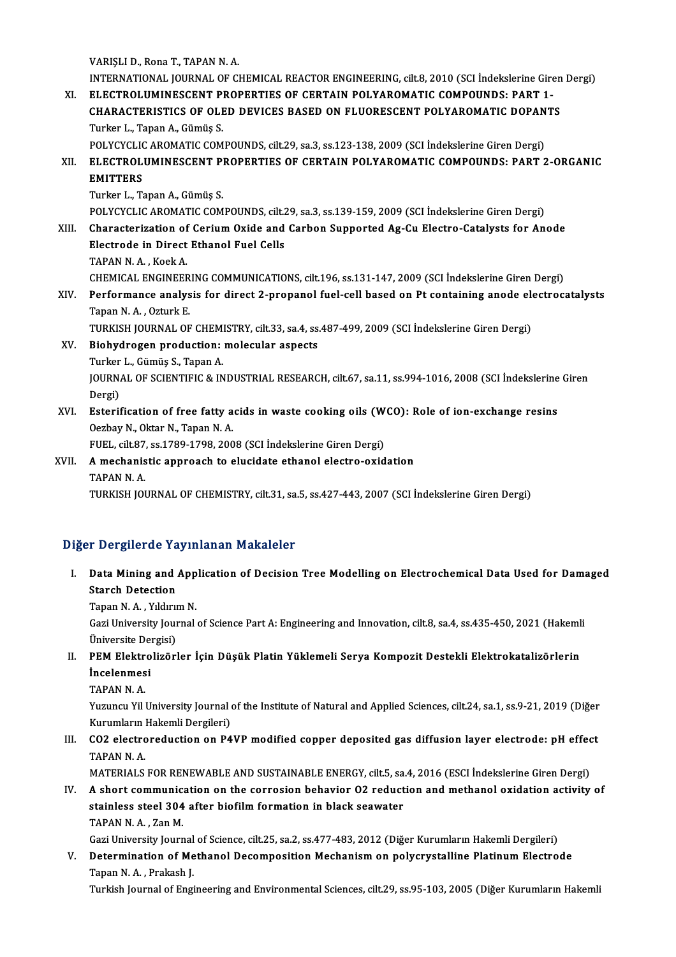VARIŞLI D., Rona T., TAPAN N.A. VARIŞLI D., Rona T., TAPAN N. A.<br>INTERNATIONAL JOURNAL OF CHEMICAL REACTOR ENGINEERING, cilt.8, 2010 (SCI İndekslerine Giren Dergi)<br>ELECTROLUMINESCENT PROPERTIES OF CERTAIN POLYAROMATIC COMPOUNDS: PART 1 VARIȘLI D., Rona T., TAPAN N. A.<br>INTERNATIONAL JOURNAL OF CHEMICAL REACTOR ENGINEERING, cilt.8, 2010 (SCI Indekslerine Gire<br>XI. ELECTROLUMINESCENT PROPERTIES OF CERTAIN POLYAROMATIC COMPOUNDS: PART 1-INTERNATIONAL JOURNAL OF CHEMICAL REACTOR ENGINEERING, cilt.8, 2010 (SCI İndekslerine Giren<br>ELECTROLUMINESCENT PROPERTIES OF CERTAIN POLYAROMATIC COMPOUNDS: PART 1-<br>CHARACTERISTICS OF OLED DEVICES BASED ON FLUORESCENT POLY XI. ELECTROLUMINESCENT PROPERTIES OF CERTAIN POLYAROMATIC COMPOUNDS: PART 1-<br>CHARACTERISTICS OF OLED DEVICES BASED ON FLUORESCENT POLYAROMATIC DOPANTS<br>Turker L., Tapan A., Gümüş S. POLYCYCLIC AROMATIC COMPOUNDS, cilt.29, sa.3, ss.123-138, 2009 (SCI İndekslerine Giren Dergi) Turker L., Tapan A., Gümüş S.<br>POLYCYCLIC AROMATIC COMPOUNDS, cilt.29, sa.3, ss.123-138, 2009 (SCI İndekslerine Giren Dergi)<br>XII. ELECTROLUMINESCENT PROPERTIES OF CERTAIN POLYAROMATIC COMPOUNDS: PART 2-ORGANIC<br>EMITTERS POLYCYCLIC<br>ELECTROL<br>EMITTERS<br>Turker L. To EL<mark>ECTROLUMINESCENT</mark> PI<br>EMITTERS<br>Turker L., Tapan A., Gümüş S.<br>POLYCYCLIC AROMATIC COM EMITTERS<br>Turker L., Tapan A., Gümüş S.<br>POLYCYCLIC AROMATIC COMPOUNDS, cilt.29, sa.3, ss.139-159, 2009 (SCI İndekslerine Giren Dergi)<br>Characterization of Corium Oxide and Carbon Sunnorted As Cu Electro Catalysts for An Turker L., Tapan A., Gümüş S.<br>POLYCYCLIC AROMATIC COMPOUNDS, cilt.29, sa.3, ss.139-159, 2009 (SCI İndekslerine Giren Dergi)<br>XIII. Characterization of Cerium Oxide and Carbon Supported Ag-Cu Electro-Catalysts for Anode POLYCYCLIC AROMATIC COMPOUNDS, cilt.<br>Characterization of Cerium Oxide and<br>Electrode in Direct Ethanol Fuel Cells<br>TABAN N.A. Kook A **Characterization of<br>Electrode in Direct<br>TAPAN N.A., Koek A.<br>CHEMICAL ENCINEER** Electrode in Direct Ethanol Fuel Cells<br>TAPAN N. A. , Koek A.<br>CHEMICAL ENGINEERING COMMUNICATIONS, cilt.196, ss.131-147, 2009 (SCI İndekslerine Giren Dergi)<br>Performanes analysis for direct 2 propanel fuel sell based on Pt s TAPAN N. A. , Koek A.<br>CHEMICAL ENGINEERING COMMUNICATIONS, cilt.196, ss.131-147, 2009 (SCI İndekslerine Giren Dergi)<br>XIV. Performance analysis for direct 2-propanol fuel-cell based on Pt containing anode electrocatalys CHEMICAL ENGINEER<br>Performance analys<br>Tapan N. A. , Ozturk E.<br>TUREEN JOUPMAL OF Performance analysis for direct 2-propanol fuel-cell based on Pt containing anode elections.<br>Tapan N. A. , Ozturk E.<br>TURKISH JOURNAL OF CHEMISTRY, cilt.33, sa.4, ss.487-499, 2009 (SCI İndekslerine Giren Dergi)<br>Piebydnegen Tapan N. A. , Ozturk E.<br>TURKISH JOURNAL OF CHEMISTRY, cilt.33, sa.4, ss.487-499, 2009 (SCI İndekslerine Giren Dergi)<br>XV. Biohydrogen production: molecular aspects TURKISH JOURNAL OF CHEM<br>Biohydrogen production:<br>Turker L., Gümüş S., Tapan A.<br>JOUPNAL OF SCIENTIEIC & IN Biohydrogen production: molecular aspects<br>Turker L., Gümüş S., Tapan A.<br>JOURNAL OF SCIENTIFIC & INDUSTRIAL RESEARCH, cilt.67, sa.11, ss.994-1016, 2008 (SCI İndekslerine Giren<br>Persi) Turker<br>JOURN<br>Dergi)<br>Esterit JOURNAL OF SCIENTIFIC & INDUSTRIAL RESEARCH, cilt.67, sa.11, ss.994-1016, 2008 (SCI indekslerine<br>Dergi)<br>XVI. Esterification of free fatty acids in waste cooking oils (WCO): Role of ion-exchange resins<br>Osphay N. Oltar N. Ta Dergi)<br>XVI. Esterification of free fatty acids in waste cooking oils (WCO): Role of ion-exchange resins<br>Oezbay N., Oktar N., Tapan N. A. Esterification of free fatty acids in waste cooking oils (W<br>Oezbay N., Oktar N., Tapan N. A.<br>FUEL, cilt.87, ss.1789-1798, 2008 (SCI İndekslerine Giren Dergi)<br>A mochanistis annraash ta alusidate athanal alastra avid XVII. A mechanistic approach to elucidate ethanol electro-oxidation<br>TAPAN N.A. FUEL, cilt.87,<br>A mechanis<br>TAPAN N. A.<br>TURKISH JOI TURKISH JOURNAL OF CHEMISTRY, cilt.31, sa.5, ss.427-443, 2007 (SCI İndekslerine Giren Dergi)

# Diğer Dergilerde Yayınlanan Makaleler

iğer Dergilerde Yayınlanan Makaleler<br>I. Data Mining and Application of Decision Tree Modelling on Electrochemical Data Used for Damaged<br>Staneb Detection n Bergherae ra<br>Data Mining and .<br>Starch Detection<br>Tanan M. A. Vildum Data Mining and App<br>Starch Detection<br>Tapan N.A., Yıldırım N.

Starch Detection<br>Tapan N. A. , Yıldırım N.<br>Gazi University Journal of Science Part A: Engineering and Innovation, cilt.8, sa.4, ss.435-450, 2021 (Hakemli Tapan N. A. , Yıldırıı<br>Gazi University Jour<br>Üniversite Dergisi)<br>PEM Elektroligörl Gazi University Journal of Science Part A: Engineering and Innovation, cilt.8, sa.4, ss.435-450, 2021 (Hakeml<br>Üniversite Dergisi)<br>II. PEM Elektrolizörler İçin Düşük Platin Yüklemeli Serya Kompozit Destekli Elektrokatalizör

Üniversite Dergisi)<br>PEM Elektrolizör<br>İncelenmesi<br>TAPAN N. A. II. PEM Elektrolizörler İçin Düşük Platin Yüklemeli Serya Kompozit Destekli Elektrokatalizörlerin

İncelenmesi<br>TAPAN N. A.<br>Yuzuncu Yil University Journal of the Institute of Natural and Applied Sciences, cilt.24, sa.1, ss.9-21, 2019 (Diğer TAPAN N. A.<br>Yuzuncu Yil University Journal<br>Kurumların Hakemli Dergileri)<br>CO2 elestraredustion on P4 Yuzuncu Yil University Journal of the Institute of Natural and Applied Sciences, cilt.24, sa.1, ss.9-21, 2019 (Diğer<br>Kurumların Hakemli Dergileri)<br>III. CO2 electroreduction on P4VP modified copper deposited gas diffusion l

Kurumların |<br>CO2 electro<br>TAPAN N. A.<br>MATERIALS CO2 electroreduction on P4VP modified copper deposited gas diffusion layer electrode: pH effectrands.<br>TAPAN N. A.<br>MATERIALS FOR RENEWABLE AND SUSTAINABLE ENERGY, cilt.5, sa.4, 2016 (ESCI İndekslerine Giren Dergi)<br>A shart s

TAPAN N. A.<br>MATERIALS FOR RENEWABLE AND SUSTAINABLE ENERGY, cilt.5, sa.4, 2016 (ESCI İndekslerine Giren Dergi)<br>IV. A short communication on the corrosion behavior O2 reduction and methanol oxidation activity of MATERIALS FOR RENEWABLE AND SUSTAINABLE ENERGY, cilt.5, sa<br>A short communication on the corrosion behavior 02 reduct<br>stainless steel 304 after biofilm formation in black seawater<br>TABAN N.A. Zan M A short communic:<br>stainless steel 304<br>TAPAN N.A., Zan M.<br>Cori University Journ stainless steel 304 after biofilm formation in black seawater<br>TAPAN N. A. , Zan M.<br>Gazi University Journal of Science, cilt.25, sa.2, ss.477-483, 2012 (Diğer Kurumların Hakemli Dergileri)<br>Determination of Methanol Desamnes

TAPAN N. A. , Zan M.<br>Gazi University Journal of Science, cilt.25, sa.2, ss.477-483, 2012 (Diğer Kurumların Hakemli Dergileri)<br>V. Determination of Methanol Decomposition Mechanism on polycrystalline Platinum Electrode<br>T Gazi University Journal<br>Determination of Me<br>Tapan N.A., Prakash J.<br>Turkish Journal of Engi

Turkish Journal of Engineering and Environmental Sciences, cilt.29, ss.95-103, 2005 (Diğer Kurumların Hakemli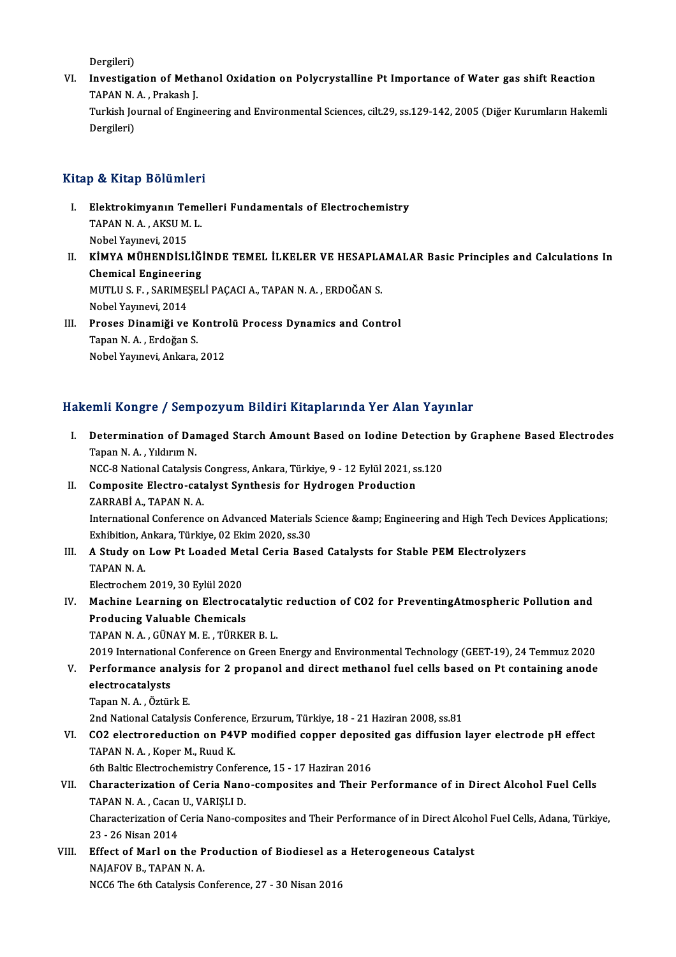Dergileri)

Dergileri)<br>VI. Investigation of Methanol Oxidation on Polycrystalline Pt Importance of Water gas shift Reaction<br>TARAN N.A. Prakash L Dergileri)<br>I<mark>nvestigation of Meth</mark><br>TAPAN N.A., Prakash J.<br>Turkish Journal of Engir Investigation of Methanol Oxidation on Polycrystalline Pt Importance of Water gas shift Reaction<br>TAPAN N. A. , Prakash J.<br>Turkish Journal of Engineering and Environmental Sciences, cilt.29, ss.129-142, 2005 (Diğer Kurumlar TAPAN N. A. , Prakash J.<br>Turkish Journal of Engineering and Environmental Sciences, cilt.29, ss.129-142, 2005 (Diğer Kurumların Hakemli<br>Dergileri)

# Kitap & Kitap Bölümleri

- Itap & Kitap Bölümleri<br>I. Elektrokimyanın Temelleri Fundamentals of Electrochemistry<br> TARAN N A AKSU M I p & HRap Borannor.<br>Elektrokimyanın Teme<br>TAPAN N. A. , AKSU M. L.<br>Nebel Veynevi. 2015 Elektrokimyanın Te<br>TAPAN N. A. , AKSU M<br>Nobel Yayınevi, 2015<br>KİMYA MÜHENDİSI
- TAPAN N. A. , AKSU M. L.<br>Nobel Yayınevi, 2015<br>II. KİMYA MÜHENDİSLİĞİNDE TEMEL İLKELER VE HESAPLAMALAR Basic Principles and Calculations In<br>Chamisal Engineering Nobel Yayınevi, 2015<br>**KİMYA MÜHENDİSLİĞİ**<br>Chemical Engineering<br>MUTI U.S. E. SARIMESEL KİMYA MÜHENDİSLİĞİNDE TEMEL İLKELER VE HESAPLA<br>Chemical Engineering<br>MUTLU S. F. , SARIMEŞELİ PAÇACI A., TAPAN N. A. , ERDOĞAN S.<br>Nobel Yaunayi 2014 Chemical Engineering<br>MUTLU S. F. , SARIMEŞELİ PAÇACI A., TAPAN N. A. , ERDOĞAN S.<br>Nobel Yayınevi, 2014 MUTLU S. F., SARIMEȘELİ PAÇACI A., TAPAN N. A., ERDOĞAN S.<br>Nobel Yayınevi, 2014<br>III. Proses Dinamiği ve Kontrolü Process Dynamics and Control
- Tapan N. A. , Erdoğan S.<br>Nobel Yayınevi, Ankara, 2012 Proses Dinamiği ve Kontro<br>Tapan N. A. , Erdoğan S.<br>Nobel Yayınevi, Ankara, 2012

# Hakemli Kongre / Sempozyum Bildiri Kitaplarında Yer Alan Yayınlar

akemli Kongre / Sempozyum Bildiri Kitaplarında Yer Alan Yayınlar<br>I. Determination of Damaged Starch Amount Based on Iodine Detection by Graphene Based Electrodes<br>Tapan N.A. Yıldırım N MATA ROAGE 6 / SOAN<br>Determination of Dan<br>Tapan N.A., Yıldırım N. Determination of Damaged Starch Amount Based on Iodine Detection<br>Tapan N. A. , Yıldırım N.<br>NCC-8 National Catalysis Congress, Ankara, Türkiye, 9 - 12 Eylül 2021, ss.120<br>Comnosite Electro, satelyst Synthesis for Hydrogen Pr Tapan N. A. , Yıldırım N.<br>NCC-8 National Catalysis Congress, Ankara, Türkiye, 9 - 12 Eylül 2021, ss.120<br>II. Composite Electro-catalyst Synthesis for Hydrogen Production ZARRABİ A., TAPAN N. A. Composite Electro-catalyst Synthesis for Hydrogen Production<br>ZARRABİ A., TAPAN N. A.<br>International Conference on Advanced Materials Science &amp; Engineering and High Tech Devices Applications;<br>Erhibition, Ankara, Türkiya, EARRABİ A., TAPAN N. A.<br>International Conference on Advanced Materials<br>Exhibition, Ankara, Türkiye, 02 Ekim 2020, ss.30<br>A. Study, on Low Pt Looded Metal Cenia Bass International Conference on Advanced Materials Science & Engineering and High Tech Dev<br>Exhibition, Ankara, Türkiye, 02 Ekim 2020, ss.30<br>III. A Study on Low Pt Loaded Metal Ceria Based Catalysts for Stable PEM Electroly Exhibition, A<br>**A Study on**<br>TAPAN N. A.<br>Electrochem A Study on Low Pt Loaded Me<br>TAPAN N. A.<br>Electrochem 2019, 30 Eylül 2020<br>Mashina I sanning an Electroc TAPAN N. A.<br>Electrochem 2019, 30 Eylül 2020<br>IV. Machine Learning on Electrocatalytic reduction of CO2 for PreventingAtmospheric Pollution and<br>Preducing Volveble Chamisels Electrochem 2019, 30 Eylül 2020<br>Machine Learning on Electroca<br>Producing Valuable Chemicals<br>TABAN N.A. CÜNAV M.E. TÜPER Machine Learning on Electrocatalyti<br>Producing Valuable Chemicals<br>TAPAN N. A. , GÜNAY M. E. , TÜRKER B. L.<br>2019 International Conference on Creen Producing Valuable Chemicals<br>TAPAN N. A. , GÜNAY M. E. , TÜRKER B. L.<br>2019 International Conference on Green Energy and Environmental Technology (GEET-19), 24 Temmuz 2020<br>Performance analysis for 2 prenanel and direct meth TAPAN N. A. , GÜNAY M. E. , TÜRKER B. L.<br>2019 International Conference on Green Energy and Environmental Technology (GEET-19), 24 Temmuz 2020<br>V. Performance analysis for 2 propanol and direct methanol fuel cells based on P 2019 Internationa<br>Performance an<br>electrocatalysts<br>Tanan N.A. Östün V. Performance analysis for 2 propanol and direct methanol fuel cells based on Pt containing anode electrocatalysts<br>electrocatalysts<br>Tapan N.A., Öztürk E. electrocatalysts<br>Tapan N. A. , Öztürk E.<br>2nd National Catalysis Conference, Erzurum, Türkiye, 18 - 21 Haziran 2008, ss.81<br>CO2 electroreduction on B4VB modified conner denosited ses diffusion. Tapan N. A. , Öztürk E.<br>2nd National Catalysis Conference, Erzurum, Türkiye, 18 - 21 Haziran 2008, ss.81<br>VI. CO2 electroreduction on P4VP modified copper deposited gas diffusion layer electrode pH effect<br>TABAN N. A. 2nd National Catalysis Conferen<br>CO2 electroreduction on P41<br>TAPAN N.A., Koper M., Ruud K. 6thBaltic Conference of P4VP modified copper deposition and Tapan N. A., Koper M., Ruud K.<br>6th Baltic Electrochemistry Conference, 15 - 17 Haziran 2016<br>Chanasterization of Coria Nano, composites and Their I TAPAN N. A. , Koper M., Ruud K.<br>6th Baltic Electrochemistry Conference, 15 - 17 Haziran 2016<br>VII. Characterization of Ceria Nano-composites and Their Performance of in Direct Alcohol Fuel Cells 6th Baltic Electrochemistry Conference, 15 - 17 Haziran 2016 Characterization of Ceria Nano-composites and Their Performance of in Direct Alcohol Fuel Cells, Adana, Türkiye,<br>23 - 26 Nisan 2014 TAPAN N.A., Cacan U., VARISLI D. Characterization of Ceria Nano-composites and Their Performance of in Direct Alcoh<br>23 - 26 Nisan 2014<br>VIII. Effect of Marl on the Production of Biodiesel as a Heterogeneous Catalyst<br>NAIAEOVE TARAN N.A 23 - 26 Nisan 2014<br>Effect of Marl on the P<br>NAJAFOV B., TAPAN N. A.<br>NCC6 The 6th Catalusis Co NAJAFOV B., TAPAN N. A.<br>NCC6 The 6th Catalysis Conference, 27 - 30 Nisan 2016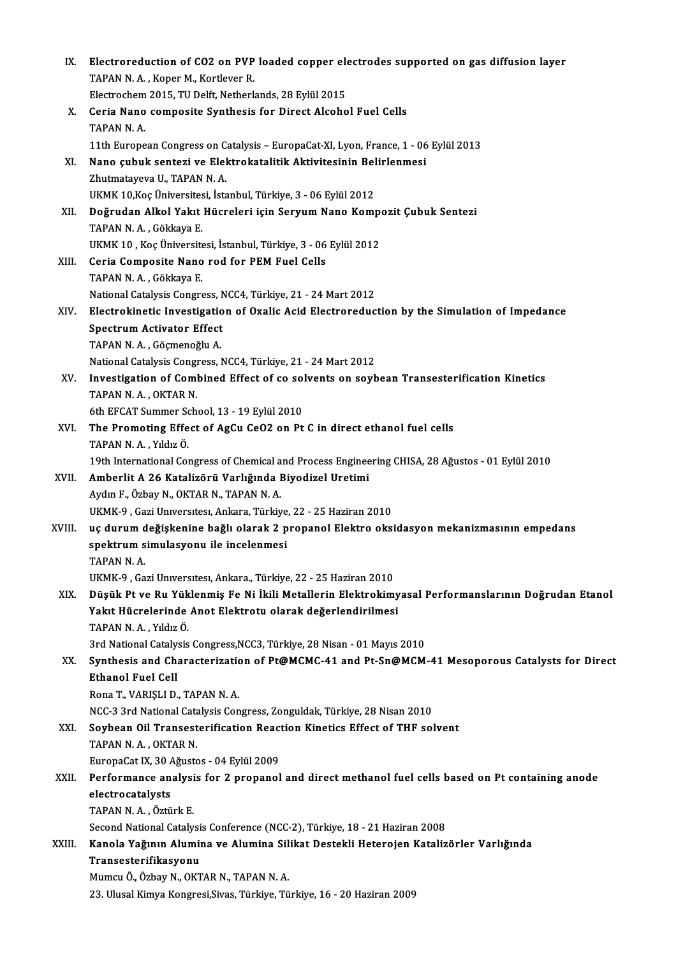| IX.    | Electroreduction of CO2 on PVP loaded copper electrodes supported on gas diffusion layer          |
|--------|---------------------------------------------------------------------------------------------------|
|        | TAPAN N.A., Koper M., Kortlever R.                                                                |
|        | Electrochem 2015, TU Delft, Netherlands, 28 Eylül 2015                                            |
| X.     | Ceria Nano composite Synthesis for Direct Alcohol Fuel Cells                                      |
|        | TAPAN N.A.                                                                                        |
|        | 11th European Congress on Catalysis - EuropaCat-XI, Lyon, France, 1 - 06 Eylül 2013               |
| XI.    | Nano çubuk sentezi ve Elektrokatalitik Aktivitesinin Belirlenmesi                                 |
|        | Zhutmatayeva U., TAPAN N.A.                                                                       |
|        | UKMK 10, Koç Üniversitesi, İstanbul, Türkiye, 3 - 06 Eylül 2012                                   |
| XII.   | Doğrudan Alkol Yakıt Hücreleri için Seryum Nano Kompozit Çubuk Sentezi                            |
|        | TAPAN N.A., Gökkaya E.                                                                            |
|        | UKMK 10, Koç Üniversitesi, İstanbul, Türkiye, 3 - 06 Eylül 2012                                   |
| XIII.  | Ceria Composite Nano rod for PEM Fuel Cells                                                       |
|        | TAPAN N.A., Gökkaya E.                                                                            |
|        | National Catalysis Congress, NCC4, Türkiye, 21 - 24 Mart 2012                                     |
| XIV.   | Electrokinetic Investigation of Oxalic Acid Electroreduction by the Simulation of Impedance       |
|        | <b>Spectrum Activator Effect</b>                                                                  |
|        | TAPAN N.A., Göçmenoğlu A.                                                                         |
|        | National Catalysis Congress, NCC4, Türkiye, 21 - 24 Mart 2012                                     |
| XV.    | Investigation of Combined Effect of co solvents on soybean Transesterification Kinetics           |
|        | TAPAN N.A., OKTAR N.                                                                              |
|        | 6th EFCAT Summer School, 13 - 19 Eylül 2010                                                       |
| XVI.   | The Promoting Effect of AgCu CeO2 on Pt C in direct ethanol fuel cells                            |
|        | TAPAN N.A., Yıldız Ö.                                                                             |
|        | 19th International Congress of Chemical and Process Engineering CHISA, 28 Ağustos - 01 Eylül 2010 |
| XVII.  | Amberlit A 26 Katalizörü Varlığında Biyodizel Uretimi                                             |
|        | Aydın F., Özbay N., OKTAR N., TAPAN N. A.                                                         |
|        | UKMK-9, Gazi Universitesi, Ankara, Türkiye, 22 - 25 Haziran 2010                                  |
| XVIII. | uç durum değişkenine bağlı olarak 2 propanol Elektro oksidasyon mekanizmasının empedans           |
|        | spektrum simulasyonu ile incelenmesi                                                              |
|        | TAPAN N.A.                                                                                        |
|        | UKMK-9, Gazi Universitesi, Ankara., Türkiye, 22 - 25 Haziran 2010                                 |
| XIX.   | Düşük Pt ve Ru Yüklenmiş Fe Ni İkili Metallerin Elektrokimyasal Performanslarının Doğrudan Etanol |
|        | Yakıt Hücrelerinde Anot Elektrotu olarak değerlendirilmesi                                        |
|        | TAPAN N.A., Yıldız Ö.                                                                             |
|        | 3rd National Catalysis Congress, NCC3, Türkiye, 28 Nisan - 01 Mayıs 2010                          |
| XX.    | Synthesis and Characterization of Pt@MCMC-41 and Pt-Sn@MCM-41 Mesoporous Catalysts for Direct     |
|        | <b>Ethanol Fuel Cell</b>                                                                          |
|        | Rona T., VARIȘLI D., TAPAN N. A.                                                                  |
|        | NCC-3 3rd National Catalysis Congress, Zonguldak, Türkiye, 28 Nisan 2010                          |
| XXI.   | Soybean Oil Transesterification Reaction Kinetics Effect of THF solvent                           |
|        | TAPAN N.A., OKTAR N.                                                                              |
|        | EuropaCat IX, 30 Ağustos - 04 Eylül 2009                                                          |
| XXII.  | Performance analysis for 2 propanol and direct methanol fuel cells based on Pt containing anode   |
|        | electrocatalysts                                                                                  |
|        | TAPAN N.A., Öztürk E.                                                                             |
|        | Second National Catalysis Conference (NCC-2), Türkiye, 18 - 21 Haziran 2008                       |
| XXIII. | Kanola Yağının Alumina ve Alumina Silikat Destekli Heterojen Katalizörler Varlığında              |
|        | Transesterifikasyonu                                                                              |
|        | Mumcu Ö., Özbay N., OKTAR N., TAPAN N. A.                                                         |
|        | 23. Ulusal Kimya Kongresi, Sivas, Türkiye, Türkiye, 16 - 20 Haziran 2009                          |
|        |                                                                                                   |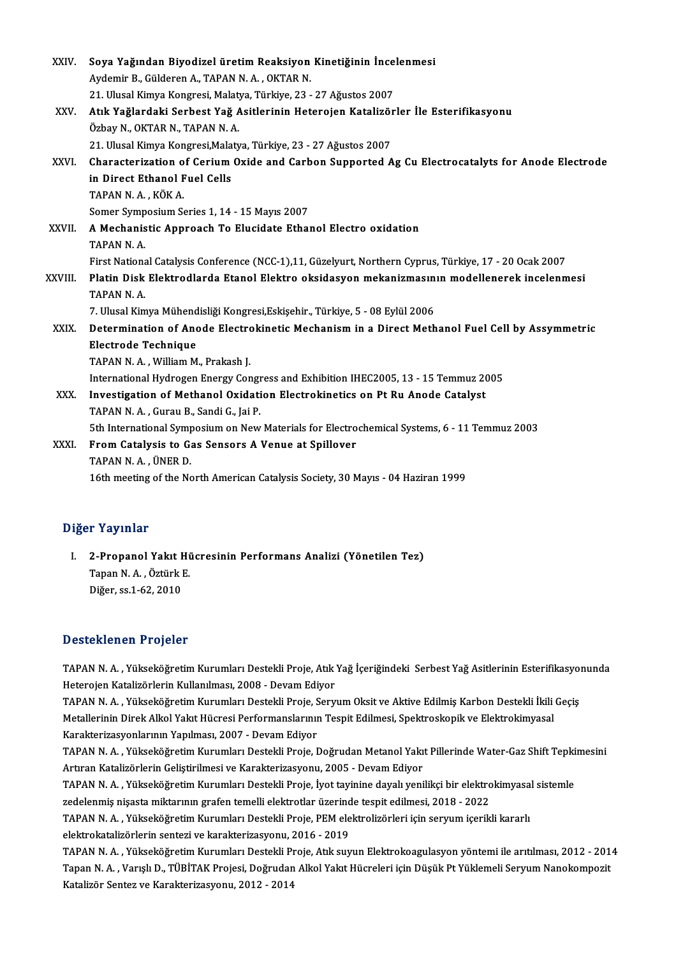| XXIV.   | Soya Yağından Biyodizel üretim Reaksiyon Kinetiğinin İncelenmesi                                       |
|---------|--------------------------------------------------------------------------------------------------------|
|         | Aydemir B., Gülderen A., TAPAN N. A., OKTAR N.                                                         |
|         | 21. Ulusal Kimya Kongresi, Malatya, Türkiye, 23 - 27 Ağustos 2007                                      |
| XXV.    | Atık Yağlardaki Serbest Yağ Asitlerinin Heterojen Katalizörler İle Esterifikasyonu                     |
|         | Özbay N., OKTAR N., TAPAN N. A.                                                                        |
|         | 21. Ulusal Kimya Kongresi, Malatya, Türkiye, 23 - 27 Ağustos 2007                                      |
| XXVI.   | Characterization of Cerium Oxide and Carbon Supported Ag Cu Electrocatalyts for Anode Electrode        |
|         | in Direct Ethanol Fuel Cells                                                                           |
|         | TAPAN N.A., KÖK A.                                                                                     |
|         | Somer Symposium Series 1, 14 - 15 Mayıs 2007                                                           |
| XXVII.  | A Mechanistic Approach To Elucidate Ethanol Electro oxidation                                          |
|         | TAPAN <sub>NA</sub>                                                                                    |
|         | First National Catalysis Conference (NCC-1),11, Güzelyurt, Northern Cyprus, Türkiye, 17 - 20 Ocak 2007 |
| XXVIII. | Platin Disk Elektrodlarda Etanol Elektro oksidasyon mekanizmasının modellenerek incelenmesi            |
|         | TAPAN <sub>NA</sub>                                                                                    |
|         | 7. Ulusal Kimya Mühendisliği Kongresi, Eskişehir., Türkiye, 5 - 08 Eylül 2006                          |
| XXIX.   | Determination of Anode Electrokinetic Mechanism in a Direct Methanol Fuel Cell by Assymmetric          |
|         | <b>Electrode Technique</b>                                                                             |
|         | TAPAN N.A., William M., Prakash J.                                                                     |
|         | International Hydrogen Energy Congress and Exhibition IHEC2005, 13 - 15 Temmuz 2005                    |
| XXX.    | Investigation of Methanol Oxidation Electrokinetics on Pt Ru Anode Catalyst                            |
|         | TAPAN N.A., Gurau B., Sandi G., Jai P.                                                                 |
|         | 5th International Symposium on New Materials for Electrochemical Systems, 6 - 11 Temmuz 2003           |
| XXXI.   | From Catalysis to Gas Sensors A Venue at Spillover                                                     |
|         | TAPAN N.A., ÜNER D.                                                                                    |
|         | 16th meeting of the North American Catalysis Society, 30 Mayıs - 04 Haziran 1999                       |

### Diğer Yayınlar

iğer Yayınlar<br>I. 2-Propanol Yakıt Hücresinin Performans Analizi (Yönetilen Tez)<br>Tanan N.A. Örtürk E 1 - 1 ay 111 am<br>2-Propanol Yakıt Hi<br>Tapan N. A. , Öztürk E.<br>Dižen es 1 62 -2010 2-Propanol Yakıt I<br>Tapan N. A. , Öztürk l<br>Diğer, ss.1-62, 2010

# Diğer, ss.1-62, 2010<br>Desteklenen Projeler

Desteklenen Projeler<br>TAPAN N.A. , Yükseköğretim Kurumları Destekli Proje, Atık Yağ İçeriğindeki Serbest Yağ Asitlerinin Esterifikasyonunda<br>Hetarejan Katalirörlerin Kullanılması, 2008 , Devam Ediyar Betermenten II oyerer<br>TAPAN N. A. , Yükseköğretim Kurumları Destekli Proje, Atık<br>Heterojen Katalizörlerin Kullanılması, 2008 - Devam Ediyor<br>TARAN N. A. , Yükseköğretim Kurumları Destekli Proje, Serv TAPAN N. A. , Yükseköğretim Kurumları Destekli Proje, Atık Yağ İçeriğindeki Serbest Yağ Asitlerinin Esterifikasyo<br>Heterojen Katalizörlerin Kullanılması, 2008 - Devam Ediyor<br>TAPAN N. A. , Yükseköğretim Kurumları Destekli P

Heterojen Katalizörlerin Kullanılması, 2008 - Devam Ediyor<br>TAPAN N. A. , Yükseköğretim Kurumları Destekli Proje, Seryum Oksit ve Aktive Edilmiş Karbon Destekli İkili<br>Metallerinin Direk Alkol Yakıt Hücresi Performanslarının TAPAN N. A. , Yükseköğretim Kurumları Destekli Proje, S<br>Metallerinin Direk Alkol Yakıt Hücresi Performanslarının<br>Karakterizasyonlarının Yapılması, 2007 - Devam Ediyor<br>TARAN N. A. Yükseköğretim Kurumları Destekli Proje I Metallerinin Direk Alkol Yakıt Hücresi Performanslarının Tespit Edilmesi, Spektroskopik ve Elektrokimyasal<br>Karakterizasyonlarının Yapılması, 2007 - Devam Ediyor<br>TAPAN N. A. , Yükseköğretim Kurumları Destekli Proje, Doğruda

Karakterizasyonlarının Yapılması, 2007 - Devam Ediyor<br>TAPAN N. A. , Yükseköğretim Kurumları Destekli Proje, Doğrudan Metanol Yakı<br>Artıran Katalizörlerin Geliştirilmesi ve Karakterizasyonu, 2005 - Devam Ediyor<br>TARAN N. A. , TAPAN N. A. , Yükseköğretim Kurumları Destekli Proje, Doğrudan Metanol Yakıt Pillerinde Water-Gaz Shift Tepki<br>Artıran Katalizörlerin Geliştirilmesi ve Karakterizasyonu, 2005 - Devam Ediyor<br>TAPAN N. A. , Yükseköğretim Kurum

Artıran Katalizörlerin Geliştirilmesi ve Karakterizasyonu, 2005 - Devam Ediyor<br>TAPAN N. A. , Yükseköğretim Kurumları Destekli Proje, İyot tayinine dayalı yenilikçi bir elektro<br>zedelenmiş nişasta miktarının grafen temelli e TAPAN N. A. , Yükseköğretim Kurumları Destekli Proje, İyot tayinine dayalı yenilikçi bir elektrokimyasal sistemle zedelenmiş nişasta miktarının grafen temelli elektrotlar üzerinde tespit edilmesi, 2018 - 2022<br>TAPAN N. A. ,

zedelenmiş nişasta miktarının grafen temelli elektrotlar üzerind<br>TAPAN N. A. , Yükseköğretim Kurumları Destekli Proje, PEM ele<br>elektrokatalizörlerin sentezi ve karakterizasyonu, 2016 - 2019<br>TARAN N. A. , Yükseköğretim Kuru TAPAN N. A. , Yükseköğretim Kurumları Destekli Proje, PEM elektrolizörleri için seryum içerikli kararlı<br>elektrokatalizörlerin sentezi ve karakterizasyonu, 2016 - 2019<br>TAPAN N. A. , Yükseköğretim Kurumları Destekli Proje, A

elektrokatalizörlerin sentezi ve karakterizasyonu, 2016 - 2019<br>TAPAN N. A. , Yükseköğretim Kurumları Destekli Proje, Atık suyun Elektrokoagulasyon yöntemi ile arıtılması, 2012 - 201<br>Tapan N. A. , Varışlı D., TÜBİTAK Projes TAPAN N. A. , Yükseköğretim Kurumları Destekli Pı<br>Tapan N. A. , Varışlı D., TÜBİTAK Projesi, Doğrudan<br>Katalizör Sentez ve Karakterizasyonu, 2012 - 2014